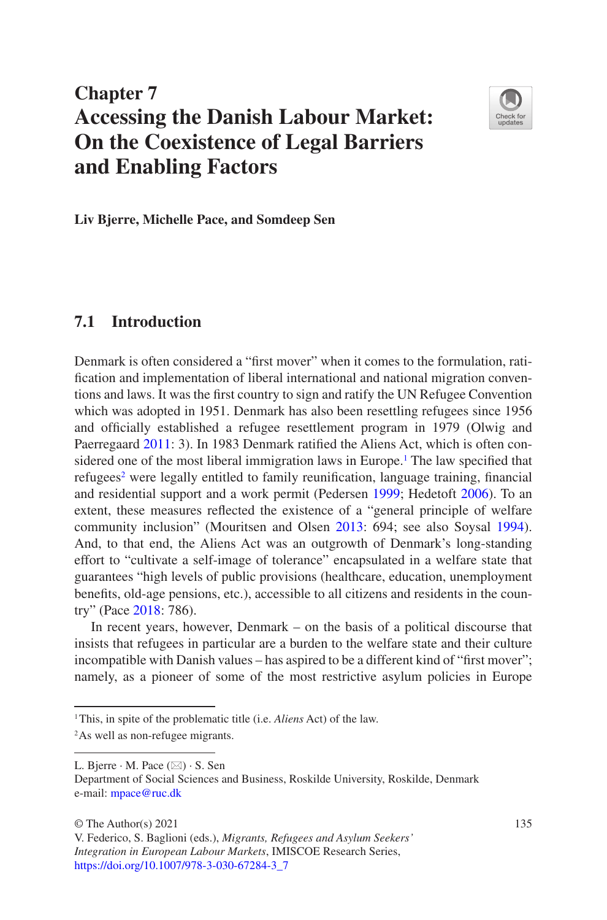# **Chapter 7 Accessing the Danish Labour Market: On the Coexistence of Legal Barriers and Enabling Factors**



<span id="page-0-6"></span>**Liv Bjerre, Michelle Pace, and Somdeep Sen**

## **7.1 Introduction**

<span id="page-0-5"></span>Denmark is often considered a "first mover" when it comes to the formulation, ratification and implementation of liberal international and national migration conventions and laws. It was the first country to sign and ratify the UN Refugee Convention which was adopted in 1951. Denmark has also been resettling refugees since 1956 and officially established a refugee resettlement program in 1979 (Olwig and Paerregaard [2011:](#page-0-0) 3). In 1983 Denmark ratified the Aliens Act, which is often con-sidered one of the most liberal immigration laws in Europe.<sup>[1](#page-0-1)</sup> The law specified that refugees<sup>[2](#page-0-2)</sup> were legally entitled to family reunification, language training, financial and residential support and a work permit (Pedersen [1999;](#page-0-3) Hedetoft [2006\)](#page-0-4). To an extent, these measures reflected the existence of a "general principle of welfare community inclusion" (Mouritsen and Olsen [2013](#page-0-5): 694; see also Soysal [1994\)](#page-0-6). And, to that end, the Aliens Act was an outgrowth of Denmark's long- standing effort to "cultivate a self-image of tolerance" encapsulated in a welfare state that guarantees "high levels of public provisions (healthcare, education, unemployment benefits, old-age pensions, etc.), accessible to all citizens and residents in the country" (Pace [2018](#page-0-7): 786).

<span id="page-0-7"></span><span id="page-0-4"></span><span id="page-0-3"></span><span id="page-0-0"></span>In recent years, however, Denmark – on the basis of a political discourse that insists that refugees in particular are a burden to the welfare state and their culture incompatible with Danish values – has aspired to be a different kind of "first mover"; namely, as a pioneer of some of the most restrictive asylum policies in Europe

<span id="page-0-1"></span><sup>&</sup>lt;sup>1</sup>This, in spite of the problematic title (i.e. *Aliens* Act) of the law.

<span id="page-0-2"></span><sup>&</sup>lt;sup>2</sup>As well as non-refugee migrants.

L. Bjerre  $\cdot$  M. Pace  $(\boxtimes) \cdot$  S. Sen

Department of Social Sciences and Business, Roskilde University, Roskilde, Denmark e-mail: [mpace@ruc.dk](mailto:mpace@ruc.dk)

V. Federico, S. Baglioni (eds.), *Migrants, Refugees and Asylum Seekers' Integration in European Labour Markets*, IMISCOE Research Series, [https://doi.org/10.1007/978-3-030-67284-3\\_7](https://doi.org/10.1007/978-3-030-67284-3_7#DOI)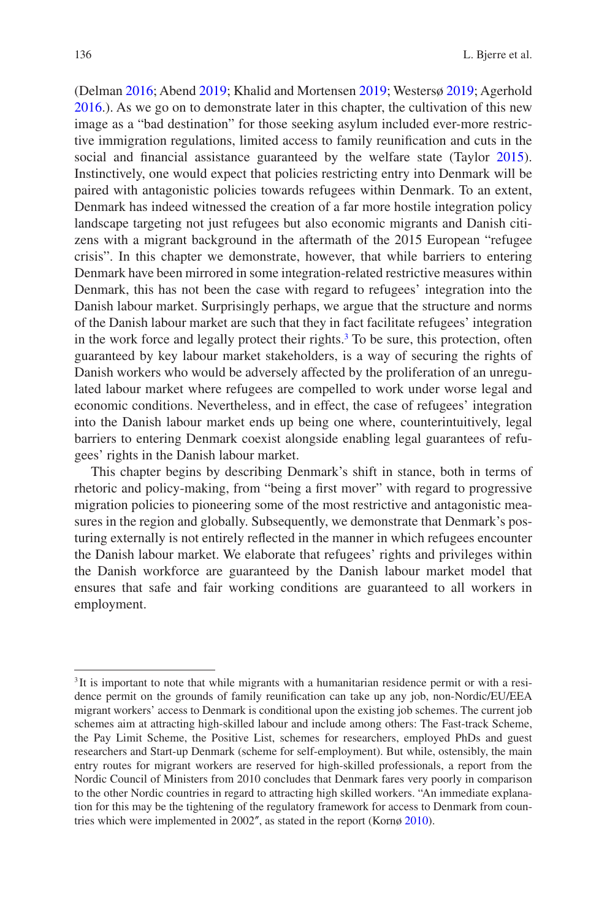<span id="page-1-7"></span><span id="page-1-5"></span><span id="page-1-2"></span>(Delman [2016](#page-1-0); Abend [2019](#page-1-1); Khalid and Mortensen [2019](#page-1-2); Westersø [2019](#page-1-3); Agerhold [2016.](#page-1-4)). As we go on to demonstrate later in this chapter, the cultivation of this new image as a "bad destination" for those seeking asylum included ever-more restrictive immigration regulations, limited access to family reunification and cuts in the social and financial assistance guaranteed by the welfare state (Taylor [2015\)](#page-1-5). Instinctively, one would expect that policies restricting entry into Denmark will be paired with antagonistic policies towards refugees within Denmark. To an extent, Denmark has indeed witnessed the creation of a far more hostile integration policy landscape targeting not just refugees but also economic migrants and Danish citizens with a migrant background in the aftermath of the 2015 European "refugee crisis". In this chapter we demonstrate, however, that while barriers to entering Denmark have been mirrored in some integration- related restrictive measures within Denmark, this has not been the case with regard to refugees' integration into the Danish labour market. Surprisingly perhaps, we argue that the structure and norms of the Danish labour market are such that they in fact facilitate refugees' integration in the work force and legally protect their rights.<sup>[3](#page-1-6)</sup> To be sure, this protection, often guaranteed by key labour market stakeholders, is a way of securing the rights of Danish workers who would be adversely affected by the proliferation of an unregulated labour market where refugees are compelled to work under worse legal and economic conditions. Nevertheless, and in effect, the case of refugees' integration into the Danish labour market ends up being one where, counterintuitively, legal barriers to entering Denmark coexist alongside enabling legal guarantees of refugees' rights in the Danish labour market.

<span id="page-1-0"></span>This chapter begins by describing Denmark's shift in stance, both in terms of rhetoric and policy- making, from "being a first mover" with regard to progressive migration policies to pioneering some of the most restrictive and antagonistic measures in the region and globally. Subsequently, we demonstrate that Denmark's posturing externally is not entirely reflected in the manner in which refugees encounter the Danish labour market. We elaborate that refugees' rights and privileges within the Danish workforce are guaranteed by the Danish labour market model that ensures that safe and fair working conditions are guaranteed to all workers in employment.

<span id="page-1-6"></span><span id="page-1-4"></span><span id="page-1-3"></span><span id="page-1-1"></span><sup>&</sup>lt;sup>3</sup>It is important to note that while migrants with a humanitarian residence permit or with a residence permit on the grounds of family reunification can take up any job, non- Nordic/EU/EEA migrant workers' access to Denmark is conditional upon the existing job schemes. The current job schemes aim at attracting high-skilled labour and include among others: The Fast-track Scheme, the Pay Limit Scheme, the Positive List, schemes for researchers, employed PhDs and guest researchers and Start-up Denmark (scheme for self-employment). But while, ostensibly, the main entry routes for migrant workers are reserved for high- skilled professionals, a report from the Nordic Council of Ministers from 2010 concludes that Denmark fares very poorly in comparison to the other Nordic countries in regard to attracting high skilled workers. "An immediate explanation for this may be the tightening of the regulatory framework for access to Denmark from countries which were implemented in 2002″, as stated in the report (Kornø [2010](#page-1-7)).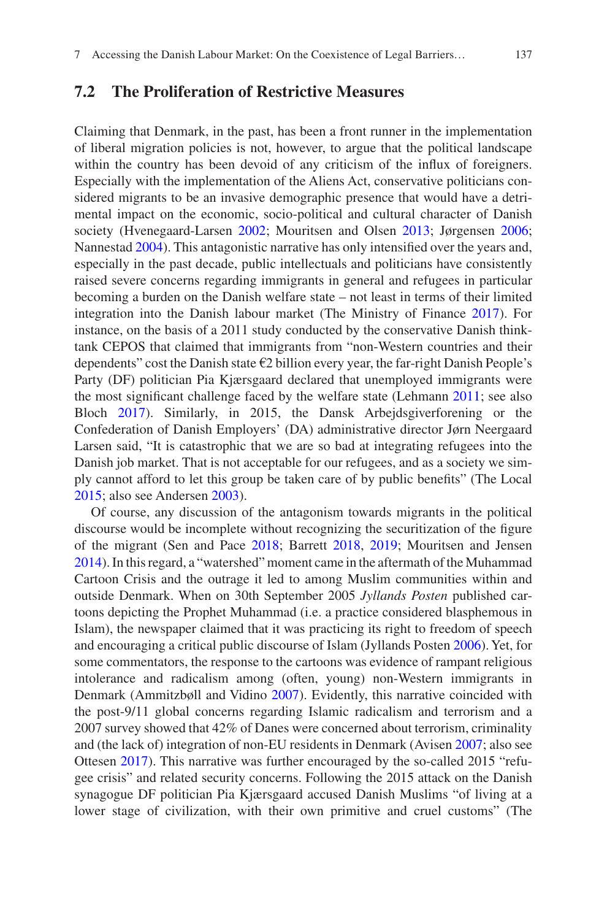## <span id="page-2-15"></span>**7.2 The Proliferation of Restrictive Measures**

<span id="page-2-11"></span><span id="page-2-10"></span><span id="page-2-9"></span><span id="page-2-5"></span>Claiming that Denmark, in the past, has been a front runner in the implementation of liberal migration policies is not, however, to argue that the political landscape within the country has been devoid of any criticism of the influx of foreigners. Especially with the implementation of the Aliens Act, conservative politicians considered migrants to be an invasive demographic presence that would have a detrimental impact on the economic, socio- political and cultural character of Danish society (Hvenegaard-Larsen [2002;](#page-2-0) Mouritsen and Olsen [2013;](#page-2-1) Jørgensen [2006;](#page-2-2) Nannestad [2004](#page-2-3)). This antagonistic narrative has only intensified over the years and, especially in the past decade, public intellectuals and politicians have consistently raised severe concerns regarding immigrants in general and refugees in particular becoming a burden on the Danish welfare state – not least in terms of their limited integration into the Danish labour market (The Ministry of Finance [2017\)](#page-2-4). For instance, on the basis of a 2011 study conducted by the conservative Danish thinktank CEPOS that claimed that immigrants from "non- Western countries and their dependents" cost the Danish state  $\epsilon$ 2 billion every year, the far-right Danish People's Party (DF) politician Pia Kjærsgaard declared that unemployed immigrants were the most significant challenge faced by the welfare state (Lehmann [2011;](#page-2-5) see also Bloch [2017](#page-2-6)). Similarly, in 2015, the Dansk Arbejdsgiverforening or the Confederation of Danish Employers' (DA) administrative director Jørn Neergaard Larsen said, "It is catastrophic that we are so bad at integrating refugees into the Danish job market. That is not acceptable for our refugees, and as a society we simply cannot afford to let this group be taken care of by public benefits" (The Local [2015;](#page-2-7) also see Andersen [2003](#page-2-8)).

<span id="page-2-14"></span><span id="page-2-13"></span><span id="page-2-12"></span><span id="page-2-8"></span><span id="page-2-7"></span><span id="page-2-6"></span><span id="page-2-4"></span><span id="page-2-3"></span><span id="page-2-2"></span><span id="page-2-1"></span><span id="page-2-0"></span>Of course, any discussion of the antagonism towards migrants in the political discourse would be incomplete without recognizing the securitization of the figure of the migrant (Sen and Pace [2018](#page-2-9); Barrett [2018](#page-2-10), [2019;](#page-2-11) Mouritsen and Jensen [2014\)](#page-2-12). In this regard, a "watershed" moment came in the aftermath of the Muhammad Cartoon Crisis and the outrage it led to among Muslim communities within and outside Denmark. When on 30th September 2005 *Jyllands Posten* published cartoons depicting the Prophet Muhammad (i.e. a practice considered blasphemous in Islam), the newspaper claimed that it was practicing its right to freedom of speech and encouraging a critical public discourse of Islam (Jyllands Posten [2006](#page-2-13)). Yet, for some commentators, the response to the cartoons was evidence of rampant religious intolerance and radicalism among (often, young) non- Western immigrants in Denmark (Ammitzbøll and Vidino [2007\)](#page-2-14). Evidently, this narrative coincided with the post-9/11 global concerns regarding Islamic radicalism and terrorism and a 2007 survey showed that 42% of Danes were concerned about terrorism, criminality and (the lack of) integration of non-EU residents in Denmark (Avisen [2007;](#page-2-15) also see Ottesen [2017](#page-2-0)). This narrative was further encouraged by the so-called 2015 "refugee crisis" and related security concerns. Following the 2015 attack on the Danish synagogue DF politician Pia Kjærsgaard accused Danish Muslims "of living at a lower stage of civilization, with their own primitive and cruel customs" (The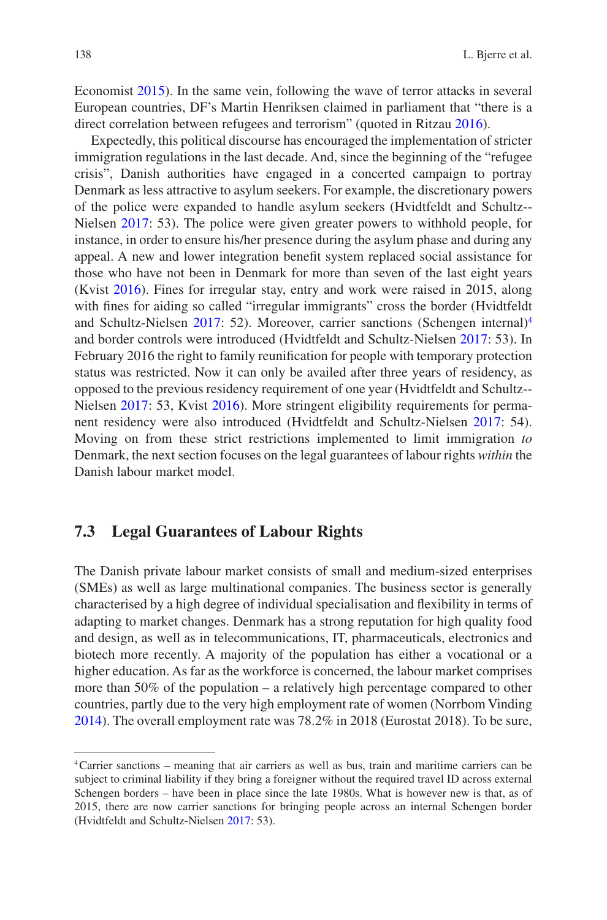Economist [2015](#page-3-0)). In the same vein, following the wave of terror attacks in several European countries, DF's Martin Henriksen claimed in parliament that "there is a direct correlation between refugees and terrorism" (quoted in Ritzau [2016\)](#page-3-1).

<span id="page-3-3"></span>Expectedly, this political discourse has encouraged the implementation of stricter immigration regulations in the last decade. And, since the beginning of the "refugee crisis", Danish authorities have engaged in a concerted campaign to portray Denmark as less attractive to asylum seekers. For example, the discretionary powers of the police were expanded to handle asylum seekers (Hvidtfeldt and Schultz- - Nielsen [2017:](#page-3-2) 53). The police were given greater powers to withhold people, for instance, in order to ensure his/her presence during the asylum phase and during any appeal. A new and lower integration benefit system replaced social assistance for those who have not been in Denmark for more than seven of the last eight years (Kvist [2016](#page-3-3)). Fines for irregular stay, entry and work were raised in 2015, along with fines for aiding so called "irregular immigrants" cross the border (Hvidtfeldt and Schultz-Nielsen [2017:](#page-3-2) 52). Moreover, carrier sanctions (Schengen internal)<sup>[4](#page-3-4)</sup> and border controls were introduced (Hvidtfeldt and Schultz- Nielsen [2017](#page-3-2): 53). In February 2016 the right to family reunification for people with temporary protection status was restricted. Now it can only be availed after three years of residency, as opposed to the previous residency requirement of one year (Hvidtfeldt and Schultz- - Nielsen [2017](#page-3-2): 53, Kvist [2016\)](#page-3-3). More stringent eligibility requirements for permanent residency were also introduced (Hvidtfeldt and Schultz- Nielsen [2017:](#page-3-2) 54). Moving on from these strict restrictions implemented to limit immigration *to* Denmark, the next section focuses on the legal guarantees of labour rights *within* the Danish labour market model.

### <span id="page-3-5"></span><span id="page-3-0"></span>**7.3 Legal Guarantees of Labour Rights**

<span id="page-3-2"></span>The Danish private labour market consists of small and medium- sized enterprises (SMEs) as well as large multinational companies. The business sector is generally characterised by a high degree of individual specialisation and flexibility in terms of adapting to market changes. Denmark has a strong reputation for high quality food and design, as well as in telecommunications, IT, pharmaceuticals, electronics and biotech more recently. A majority of the population has either a vocational or a higher education. As far as the workforce is concerned, the labour market comprises more than 50% of the population – a relatively high percentage compared to other countries, partly due to the very high employment rate of women (Norrbom Vinding [2014\)](#page-3-5). The overall employment rate was 78.2% in 2018 (Eurostat 2018). To be sure,

<span id="page-3-4"></span><span id="page-3-1"></span><sup>4</sup> Carrier sanctions – meaning that air carriers as well as bus, train and maritime carriers can be subject to criminal liability if they bring a foreigner without the required travel ID across external Schengen borders – have been in place since the late 1980s. What is however new is that, as of 2015, there are now carrier sanctions for bringing people across an internal Schengen border (Hvidtfeldt and Schultz-Nielsen [2017:](#page-3-2) 53).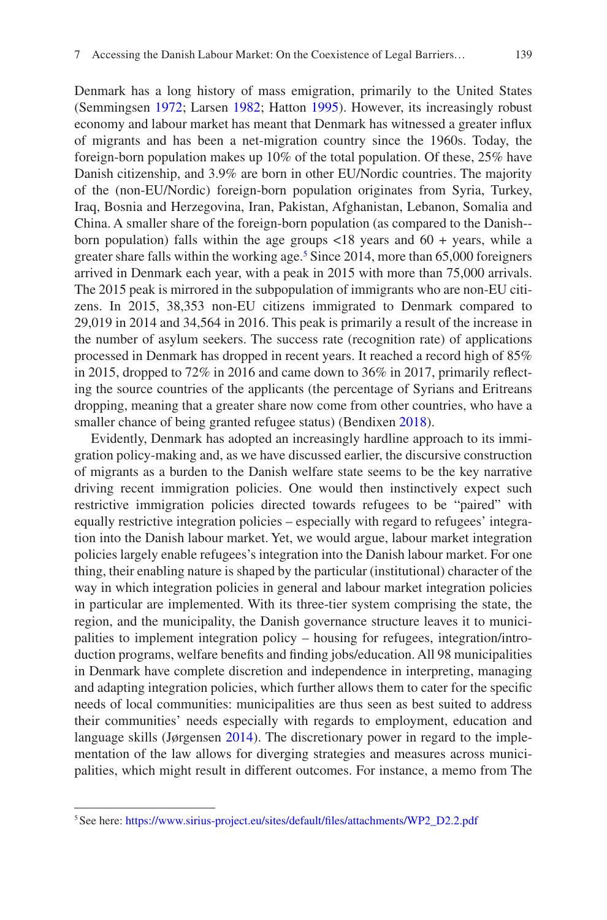<span id="page-4-1"></span><span id="page-4-0"></span>Denmark has a long history of mass emigration, primarily to the United States (Semmingsen [1972](#page-4-0); Larsen [1982;](#page-4-1) Hatton [1995](#page-4-2)). However, its increasingly robust economy and labour market has meant that Denmark has witnessed a greater influx of migrants and has been a net- migration country since the 1960s. Today, the foreign- born population makes up 10% of the total population. Of these, 25% have Danish citizenship, and 3.9% are born in other EU/Nordic countries. The majority of the (non-EU/Nordic) foreign-born population originates from Syria, Turkey, Iraq, Bosnia and Herzegovina, Iran, Pakistan, Afghanistan, Lebanon, Somalia and China. A smaller share of the foreign- born population (as compared to the Danish- born population) falls within the age groups  $\langle 18 \rangle$  years and  $60 + \gamma$  years, while a greater share falls within the working age.<sup>[5](#page-4-3)</sup> Since 2014, more than 65,000 foreigners arrived in Denmark each year, with a peak in 2015 with more than 75,000 arrivals. The 2015 peak is mirrored in the subpopulation of immigrants who are non- EU citizens. In 2015, 38,353 non- EU citizens immigrated to Denmark compared to 29,019 in 2014 and 34,564 in 2016. This peak is primarily a result of the increase in the number of asylum seekers. The success rate (recognition rate) of applications processed in Denmark has dropped in recent years. It reached a record high of 85% in 2015, dropped to 72% in 2016 and came down to 36% in 2017, primarily reflecting the source countries of the applicants (the percentage of Syrians and Eritreans dropping, meaning that a greater share now come from other countries, who have a smaller chance of being granted refugee status) (Bendixen [2018](#page-4-4)).

<span id="page-4-4"></span><span id="page-4-2"></span>Evidently, Denmark has adopted an increasingly hardline approach to its immigration policy- making and, as we have discussed earlier, the discursive construction of migrants as a burden to the Danish welfare state seems to be the key narrative driving recent immigration policies. One would then instinctively expect such restrictive immigration policies directed towards refugees to be "paired" with equally restrictive integration policies – especially with regard to refugees' integration into the Danish labour market. Yet, we would argue, labour market integration policies largely enable refugees's integration into the Danish labour market. For one thing, their enabling nature is shaped by the particular (institutional) character of the way in which integration policies in general and labour market integration policies in particular are implemented. With its three- tier system comprising the state, the region, and the municipality, the Danish governance structure leaves it to municipalities to implement integration policy – housing for refugees, integration/introduction programs, welfare benefits and finding jobs/education. All 98 municipalities in Denmark have complete discretion and independence in interpreting, managing and adapting integration policies, which further allows them to cater for the specific needs of local communities: municipalities are thus seen as best suited to address their communities' needs especially with regards to employment, education and language skills (Jørgensen [2014](#page-4-5)). The discretionary power in regard to the implementation of the law allows for diverging strategies and measures across municipalities, which might result in different outcomes. For instance, a memo from The

<span id="page-4-5"></span><span id="page-4-3"></span><sup>&</sup>lt;sup>5</sup> See here: https://www.sirius-project.eu/sites/default/files/attachments/WP2\_D2.2.pdf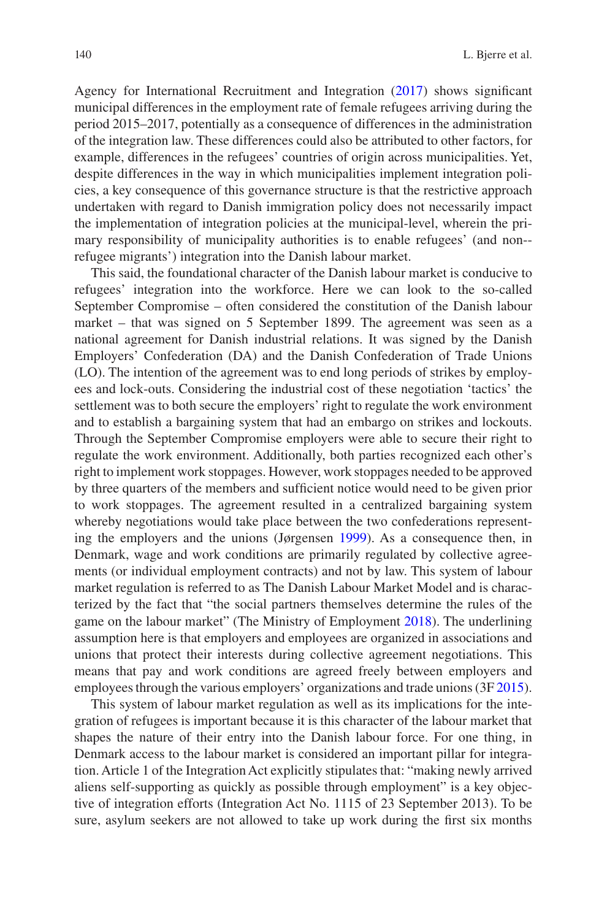Agency for International Recruitment and Integration [\(2017](#page-5-0)) shows significant municipal differences in the employment rate of female refugees arriving during the period 2015–2017, potentially as a consequence of differences in the administration of the integration law. These differences could also be attributed to other factors, for example, differences in the refugees' countries of origin across municipalities. Yet, despite differences in the way in which municipalities implement integration policies, a key consequence of this governance structure is that the restrictive approach undertaken with regard to Danish immigration policy does not necessarily impact the implementation of integration policies at the municipal- level, wherein the primary responsibility of municipality authorities is to enable refugees' (and non- refugee migrants') integration into the Danish labour market.

<span id="page-5-0"></span>This said, the foundational character of the Danish labour market is conducive to refugees' integration into the workforce. Here we can look to the so-called September Compromise – often considered the constitution of the Danish labour market – that was signed on 5 September 1899. The agreement was seen as a national agreement for Danish industrial relations. It was signed by the Danish Employers' Confederation (DA) and the Danish Confederation of Trade Unions (LO). The intention of the agreement was to end long periods of strikes by employees and lock- outs. Considering the industrial cost of these negotiation 'tactics' the settlement was to both secure the employers' right to regulate the work environment and to establish a bargaining system that had an embargo on strikes and lockouts. Through the September Compromise employers were able to secure their right to regulate the work environment. Additionally, both parties recognized each other's right to implement work stoppages. However, work stoppages needed to be approved by three quarters of the members and sufficient notice would need to be given prior to work stoppages. The agreement resulted in a centralized bargaining system whereby negotiations would take place between the two confederations representing the employers and the unions (Jørgensen [1999\)](#page-5-1). As a consequence then, in Denmark, wage and work conditions are primarily regulated by collective agreements (or individual employment contracts) and not by law. This system of labour market regulation is referred to as The Danish Labour Market Model and is characterized by the fact that "the social partners themselves determine the rules of the game on the labour market" (The Ministry of Employment [2018\)](#page-5-2). The underlining assumption here is that employers and employees are organized in associations and unions that protect their interests during collective agreement negotiations. This means that pay and work conditions are agreed freely between employers and employees through the various employers' organizations and trade unions (3F [2015\)](#page-5-3).

<span id="page-5-3"></span><span id="page-5-2"></span><span id="page-5-1"></span>This system of labour market regulation as well as its implications for the integration of refugees is important because it is this character of the labour market that shapes the nature of their entry into the Danish labour force. For one thing, in Denmark access to the labour market is considered an important pillar for integration. Article 1 of the Integration Act explicitly stipulates that: "making newly arrived aliens self- supporting as quickly as possible through employment" is a key objective of integration efforts (Integration Act No. 1115 of 23 September 2013). To be sure, asylum seekers are not allowed to take up work during the first six months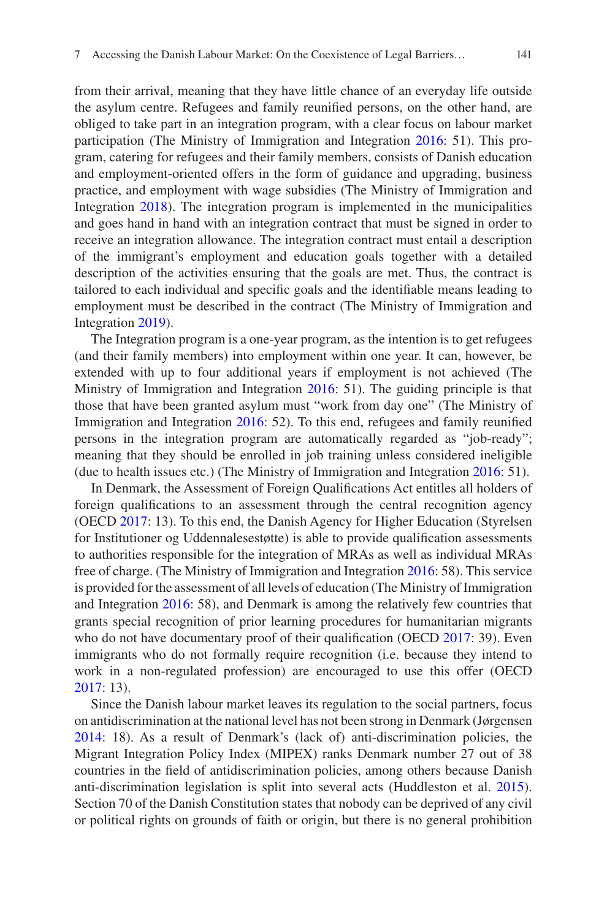from their arrival, meaning that they have little chance of an everyday life outside the asylum centre. Refugees and family reunified persons, on the other hand, are obliged to take part in an integration program, with a clear focus on labour market participation (The Ministry of Immigration and Integration [2016](#page-6-0): 51). This program, catering for refugees and their family members, consists of Danish education and employment- oriented offers in the form of guidance and upgrading, business practice, and employment with wage subsidies (The Ministry of Immigration and Integration [2018](#page-6-1)). The integration program is implemented in the municipalities and goes hand in hand with an integration contract that must be signed in order to receive an integration allowance. The integration contract must entail a description of the immigrant's employment and education goals together with a detailed description of the activities ensuring that the goals are met. Thus, the contract is tailored to each individual and specific goals and the identifiable means leading to employment must be described in the contract (The Ministry of Immigration and Integration [2019](#page-6-2)).

The Integration program is a one-year program, as the intention is to get refugees (and their family members) into employment within one year. It can, however, be extended with up to four additional years if employment is not achieved (The Ministry of Immigration and Integration [2016:](#page-6-0) 51). The guiding principle is that those that have been granted asylum must "work from day one" (The Ministry of Immigration and Integration [2016](#page-6-0): 52). To this end, refugees and family reunified persons in the integration program are automatically regarded as "job-ready"; meaning that they should be enrolled in job training unless considered ineligible (due to health issues etc.) (The Ministry of Immigration and Integration [2016:](#page-6-0) 51).

<span id="page-6-5"></span><span id="page-6-3"></span><span id="page-6-0"></span>In Denmark, the Assessment of Foreign Qualifications Act entitles all holders of foreign qualifications to an assessment through the central recognition agency (OECD [2017:](#page-6-3) 13). To this end, the Danish Agency for Higher Education (Styrelsen for Institutioner og Uddennalesestøtte) is able to provide qualification assessments to authorities responsible for the integration of MRAs as well as individual MRAs free of charge. (The Ministry of Immigration and Integration [2016:](#page-6-0) 58). This service is provided for the assessment of all levels of education (The Ministry of Immigration and Integration [2016:](#page-6-0) 58), and Denmark is among the relatively few countries that grants special recognition of prior learning procedures for humanitarian migrants who do not have documentary proof of their qualification (OECD [2017:](#page-6-3) 39). Even immigrants who do not formally require recognition (i.e. because they intend to work in a non- regulated profession) are encouraged to use this offer (OECD [2017:](#page-6-3) 13).

<span id="page-6-4"></span><span id="page-6-2"></span><span id="page-6-1"></span>Since the Danish labour market leaves its regulation to the social partners, focus on antidiscrimination at the national level has not been strong in Denmark (Jørgensen [2014:](#page-6-4) 18). As a result of Denmark's (lack of) anti- discrimination policies, the Migrant Integration Policy Index (MIPEX) ranks Denmark number 27 out of 38 countries in the field of antidiscrimination policies, among others because Danish anti- discrimination legislation is split into several acts (Huddleston et al. [2015\)](#page-6-5). Section 70 of the Danish Constitution states that nobody can be deprived of any civil or political rights on grounds of faith or origin, but there is no general prohibition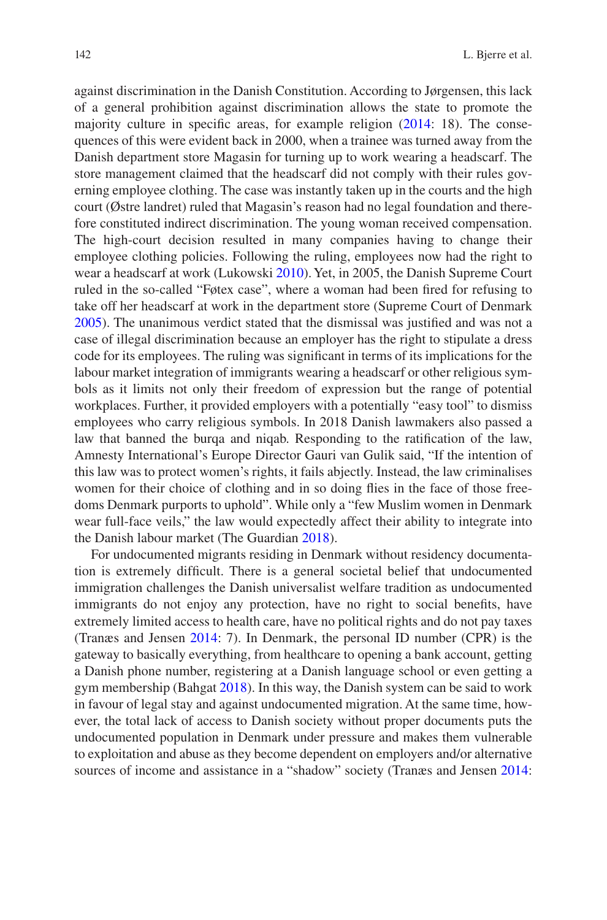<span id="page-7-5"></span><span id="page-7-2"></span><span id="page-7-1"></span>against discrimination in the Danish Constitution. According to Jørgensen, this lack of a general prohibition against discrimination allows the state to promote the majority culture in specific areas, for example religion [\(2014](#page-7-0): 18). The consequences of this were evident back in 2000, when a trainee was turned away from the Danish department store Magasin for turning up to work wearing a headscarf. The store management claimed that the headscarf did not comply with their rules governing employee clothing. The case was instantly taken up in the courts and the high court (Østre landret) ruled that Magasin's reason had no legal foundation and therefore constituted indirect discrimination. The young woman received compensation. The high- court decision resulted in many companies having to change their employee clothing policies. Following the ruling, employees now had the right to wear a headscarf at work (Lukowski [2010\)](#page-7-1). Yet, in 2005, the Danish Supreme Court ruled in the so- called "Føtex case", where a woman had been fired for refusing to take off her headscarf at work in the department store (Supreme Court of Denmark [2005\)](#page-7-2). The unanimous verdict stated that the dismissal was justified and was not a case of illegal discrimination because an employer has the right to stipulate a dress code for its employees. The ruling was significant in terms of its implications for the labour market integration of immigrants wearing a headscarf or other religious symbols as it limits not only their freedom of expression but the range of potential workplaces. Further, it provided employers with a potentially "easy tool" to dismiss employees who carry religious symbols. In 2018 Danish lawmakers also passed a law that banned the burqa and niqab. Responding to the ratification of the law, Amnesty International's Europe Director Gauri van Gulik said, "If the intention of this law was to protect women's rights, it fails abjectly. Instead, the law criminalises women for their choice of clothing and in so doing flies in the face of those freedoms Denmark purports to uphold". While only a "few Muslim women in Denmark wear full-face veils," the law would expectedly affect their ability to integrate into the Danish labour market (The Guardian [2018\)](#page-7-3).

<span id="page-7-4"></span><span id="page-7-3"></span><span id="page-7-0"></span>For undocumented migrants residing in Denmark without residency documentation is extremely difficult. There is a general societal belief that undocumented immigration challenges the Danish universalist welfare tradition as undocumented immigrants do not enjoy any protection, have no right to social benefits, have extremely limited access to health care, have no political rights and do not pay taxes (Tranæs and Jensen [2014:](#page-7-4) 7). In Denmark, the personal ID number (CPR) is the gateway to basically everything, from healthcare to opening a bank account, getting a Danish phone number, registering at a Danish language school or even getting a gym membership (Bahgat [2018](#page-7-5)). In this way, the Danish system can be said to work in favour of legal stay and against undocumented migration. At the same time, however, the total lack of access to Danish society without proper documents puts the undocumented population in Denmark under pressure and makes them vulnerable to exploitation and abuse as they become dependent on employers and/or alternative sources of income and assistance in a "shadow" society (Tranæs and Jensen [2014:](#page-7-4)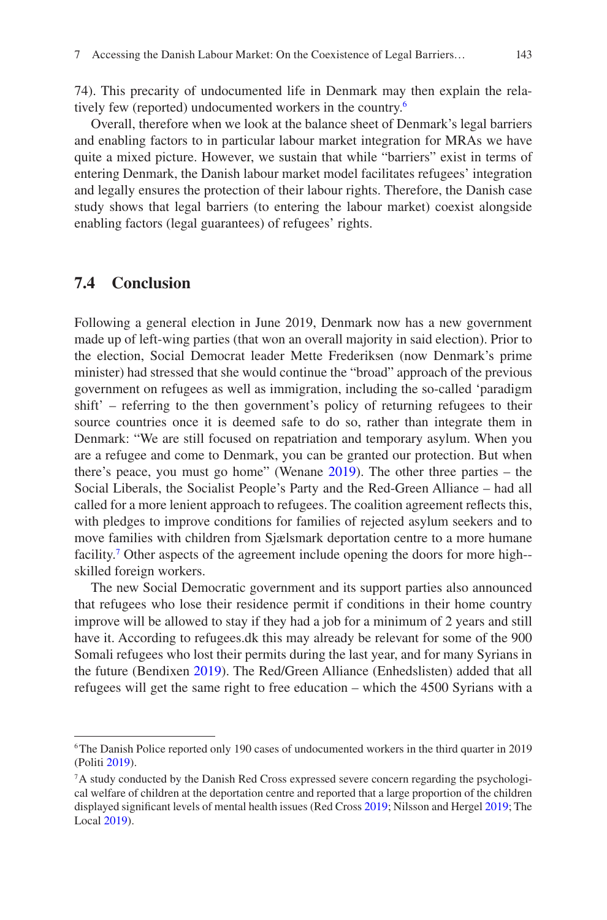74). This precarity of undocumented life in Denmark may then explain the relatively few (reported) undocumented workers in the country.[6](#page-8-0)

Overall, therefore when we look at the balance sheet of Denmark's legal barriers and enabling factors to in particular labour market integration for MRAs we have quite a mixed picture. However, we sustain that while "barriers" exist in terms of entering Denmark, the Danish labour market model facilitates refugees' integration and legally ensures the protection of their labour rights. Therefore, the Danish case study shows that legal barriers (to entering the labour market) coexist alongside enabling factors (legal guarantees) of refugees' rights.

#### **7.4 Conclusion**

<span id="page-8-7"></span><span id="page-8-6"></span><span id="page-8-3"></span>Following a general election in June 2019, Denmark now has a new government made up of left-wing parties (that won an overall majority in said election). Prior to the election, Social Democrat leader Mette Frederiksen (now Denmark's prime minister) had stressed that she would continue the "broad" approach of the previous government on refugees as well as immigration, including the so- called 'paradigm shift' – referring to the then government's policy of returning refugees to their source countries once it is deemed safe to do so, rather than integrate them in Denmark: "We are still focused on repatriation and temporary asylum. When you are a refugee and come to Denmark, you can be granted our protection. But when there's peace, you must go home" (Wenane [2019\)](#page-8-1). The other three parties – the Social Liberals, the Socialist People's Party and the Red-Green Alliance – had all called for a more lenient approach to refugees. The coalition agreement reflects this, with pledges to improve conditions for families of rejected asylum seekers and to move families with children from Sjælsmark deportation centre to a more humane facility.<sup>[7](#page-8-2)</sup> Other aspects of the agreement include opening the doors for more high-skilled foreign workers.

The new Social Democratic government and its support parties also announced that refugees who lose their residence permit if conditions in their home country improve will be allowed to stay if they had a job for a minimum of 2 years and still have it. According to refugees.dk this may already be relevant for some of the 900 Somali refugees who lost their permits during the last year, and for many Syrians in the future (Bendixen [2019](#page-8-3)). The Red/Green Alliance (Enhedslisten) added that all refugees will get the same right to free education – which the 4500 Syrians with a

<span id="page-8-5"></span><span id="page-8-4"></span><span id="page-8-1"></span><span id="page-8-0"></span><sup>6</sup> The Danish Police reported only 190 cases of undocumented workers in the third quarter in 2019 (Politi [2019](#page-8-4)).

<span id="page-8-2"></span><sup>7</sup> A study conducted by the Danish Red Cross expressed severe concern regarding the psychological welfare of children at the deportation centre and reported that a large proportion of the children displayed significant levels of mental health issues (Red Cross [2019;](#page-8-5) Nilsson and Hergel [2019](#page-8-6); The Local [2019](#page-8-7)).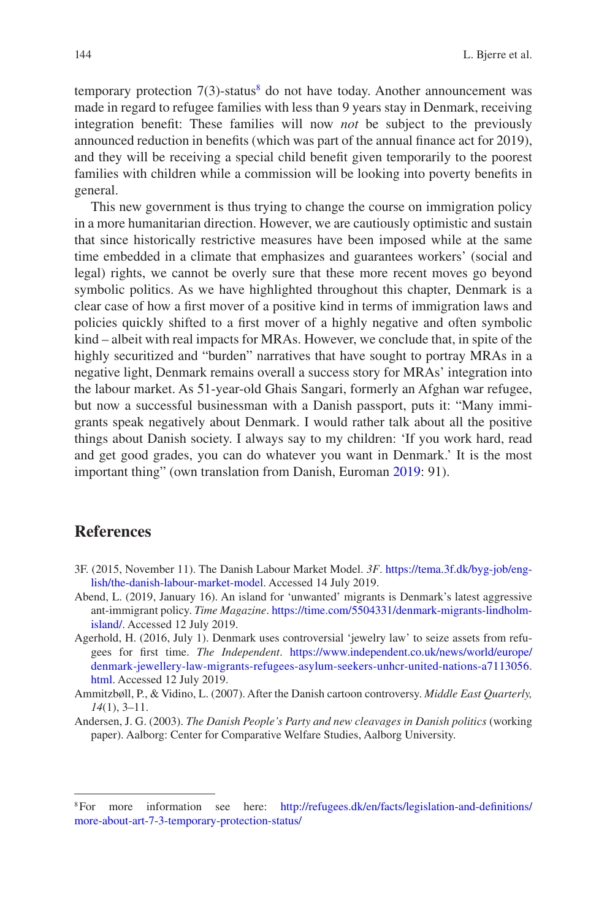temporary protection  $7(3)$ -status<sup>[8](#page-9-0)</sup> do not have today. Another announcement was made in regard to refugee families with less than 9 years stay in Denmark, receiving integration benefit: These families will now *not* be subject to the previously announced reduction in benefits (which was part of the annual finance act for 2019), and they will be receiving a special child benefit given temporarily to the poorest families with children while a commission will be looking into poverty benefits in general.

This new government is thus trying to change the course on immigration policy in a more humanitarian direction. However, we are cautiously optimistic and sustain that since historically restrictive measures have been imposed while at the same time embedded in a climate that emphasizes and guarantees workers' (social and legal) rights, we cannot be overly sure that these more recent moves go beyond symbolic politics. As we have highlighted throughout this chapter, Denmark is a clear case of how a first mover of a positive kind in terms of immigration laws and policies quickly shifted to a first mover of a highly negative and often symbolic kind – albeit with real impacts for MRAs. However, we conclude that, in spite of the highly securitized and "burden" narratives that have sought to portray MRAs in a negative light, Denmark remains overall a success story for MRAs' integration into the labour market. As 51- year- old Ghais Sangari, formerly an Afghan war refugee, but now a successful businessman with a Danish passport, puts it: "Many immigrants speak negatively about Denmark. I would rather talk about all the positive things about Danish society. I always say to my children: 'If you work hard, read and get good grades, you can do whatever you want in Denmark.' It is the most important thing" (own translation from Danish, Euroman [2019:](#page-9-1) 91).

### <span id="page-9-1"></span>**References**

- 3F. (2015, November 11). The Danish Labour Market Model. *3F*. [https://tema.3f.dk/byg- job/eng](https://tema.3f.dk/byg-job/english/the-danish-labour-market-model)lish/the-danish-labour-market-model. Accessed 14 July 2019.
- Abend, L. (2019, January 16). An island for 'unwanted' migrants is Denmark's latest aggressive ant-immigrant policy. *Time Magazine*. https://time.com/5504331/denmark-migrants-lindholm[island/.](https://time.com/5504331/denmark-migrants-lindholm-island/) Accessed 12 July 2019.
- Agerhold, H. (2016, July 1). Denmark uses controversial 'jewelry law' to seize assets from refugees for first time. *The Independent*. [https://www.independent.co.uk/news/world/europe/](https://www.independent.co.uk/news/world/europe/denmark-jewellery-law-migrants-refugees-asylum-seekers-unhcr-united-nations-a7113056.html) [denmark- jewellery- law- migrants- refugees- asylum- seekers- unhcr- united- nations- a7113056.](https://www.independent.co.uk/news/world/europe/denmark-jewellery-law-migrants-refugees-asylum-seekers-unhcr-united-nations-a7113056.html) [html](https://www.independent.co.uk/news/world/europe/denmark-jewellery-law-migrants-refugees-asylum-seekers-unhcr-united-nations-a7113056.html). Accessed 12 July 2019.
- Ammitzbøll, P., & Vidino, L. (2007). After the Danish cartoon controversy. *Middle East Quarterly, 14*(1), 3–11.
- Andersen, J. G. (2003). *The Danish People's Party and new cleavages in Danish politics* (working paper). Aalborg: Center for Comparative Welfare Studies, Aalborg University.

<span id="page-9-0"></span><sup>&</sup>lt;sup>8</sup> For more information see here: http://refugees.dk/en/facts/legislation-and-definitions/ more-about-art-7-3-temporary-protection-status/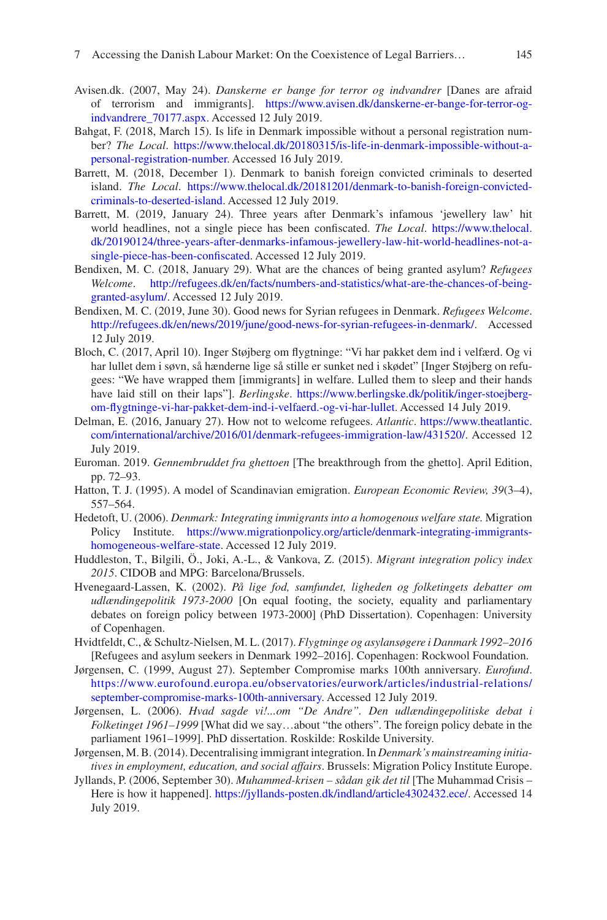- Avisen.dk. (2007, May 24). *Danskerne er bange for terror og indvandrer* [Danes are afraid of terrorism and immigrants]. https://www.avisen.dk/danskerne-er-bange-for-terror-og[indvandrere\\_70177.aspx](https://www.avisen.dk/danskerne-er-bange-for-terror-og-indvandrere_70177.aspx). Accessed 12 July 2019.
- Bahgat, F. (2018, March 15). Is life in Denmark impossible without a personal registration number? *The Local.* https://www.thelocal.dk/20180315/is-life-in-denmark-impossible-without-a[personal- registration- number](https://www.thelocal.dk/20180315/is-life-in-denmark-impossible-without-a-personal-registration-number). Accessed 16 July 2019.
- Barrett, M. (2018, December 1). Denmark to banish foreign convicted criminals to deserted island. *The Local*. https://www.thelocal.dk/20181201/denmark-to-banish-foreign-convicted[criminals- to- deserted- island](https://www.thelocal.dk/20181201/denmark-to-banish-foreign-convicted-criminals-to-deserted-island). Accessed 12 July 2019.
- Barrett, M. (2019, January 24). Three years after Denmark's infamous 'jewellery law' hit world headlines, not a single piece has been confiscated. *The Local*. [https://www.thelocal.](https://www.thelocal.dk/20190124/three-years-after-denmarks-infamous-jewellery-law-hit-world-headlines-not-a-single-piece-has-been-confiscated) [dk/20190124/three- years- after- denmarks- infamous- jewellery- law- hit- world- headlines- not- a](https://www.thelocal.dk/20190124/three-years-after-denmarks-infamous-jewellery-law-hit-world-headlines-not-a-single-piece-has-been-confiscated)single-piece-has-been-confiscated. Accessed 12 July 2019.
- Bendixen, M. C. (2018, January 29). What are the chances of being granted asylum? *Refugees Welcome.* http://refugees.dk/en/facts/numbers-and-statistics/what-are-the-chances-of-being[granted- asylum/](http://refugees.dk/en/facts/numbers-and-statistics/what-are-the-chances-of-being-granted-asylum/). Accessed 12 July 2019.
- Bendixen, M. C. (2019, June 30). Good news for Syrian refugees in Denmark. *Refugees Welcome*. [http://refugees.dk/en/news/2019/june/good- news- for- syrian- refugees- in- denmark/.](http://refugees.dk/en/news/2019/june/good-news-for-syrian-refugees-in-denmark/) Accessed 12 July 2019.
- Bloch, C. (2017, April 10). Inger Støjberg om flygtninge: "Vi har pakket dem ind i velfærd. Og vi har lullet dem i søvn, så hænderne lige så stille er sunket ned i skødet" [Inger Støjberg on refugees: "We have wrapped them [immigrants] in welfare. Lulled them to sleep and their hands have laid still on their laps"]. *Berlingske*. [https://www.berlingske.dk/politik/inger- stoejberg](https://www.berlingske.dk/politik/inger-stoejberg-om-flygtninge-vi-har-pakket-dem-ind-i-velfaerd.-og-vi-har-lullet)[om- flygtninge- vi- har- pakket- dem- ind- i- velfaerd.- og- vi- har- lullet.](https://www.berlingske.dk/politik/inger-stoejberg-om-flygtninge-vi-har-pakket-dem-ind-i-velfaerd.-og-vi-har-lullet) Accessed 14 July 2019.
- Delman, E. (2016, January 27). How not to welcome refugees. *Atlantic*. [https://www.theatlantic.](https://www.theatlantic.com/international/archive/2016/01/denmark-refugees-immigration-law/431520/) [com/international/archive/2016/01/denmark- refugees- immigration- law/431520/.](https://www.theatlantic.com/international/archive/2016/01/denmark-refugees-immigration-law/431520/) Accessed 12 July 2019.
- Euroman. 2019. *Gennembruddet fra ghettoen* [The breakthrough from the ghetto]. April Edition, pp. 72–93.
- Hatton, T. J. (1995). A model of Scandinavian emigration. *European Economic Review, 39*(3–4), 557–564.
- Hedetoft, U. (2006). *Denmark: Integrating immigrants into a homogenous welfare state.* Migration Policy Institute. https://www.migrationpolicy.org/article/denmark-integrating-immigrantshomogeneous-welfare-state. Accessed 12 July 2019.
- Huddleston, T., Bilgili, Ö., Joki, A.-L., & Vankova, Z. (2015). *Migrant integration policy index 2015*. CIDOB and MPG: Barcelona/Brussels.
- Hvenegaard-Lassen, K. (2002). *På lige fod, samfundet, ligheden og folketingets debatter om udlændingepolitik 1973-2000* [On equal footing, the society, equality and parliamentary debates on foreign policy between 1973-2000] (PhD Dissertation). Copenhagen: University of Copenhagen.
- Hvidtfeldt, C., & Schultz-Nielsen, M. L. (2017). *Flygtninge og asylansøgere i Danmark 1992–2016* [Refugees and asylum seekers in Denmark 1992–2016]. Copenhagen: Rockwool Foundation.
- Jørgensen, C. (1999, August 27). September Compromise marks 100th anniversary. *Eurofund*. [https://www.eurofound.europa.eu/observatories/eurwork/articles/industrial- relations/](https://www.eurofound.europa.eu/observatories/eurwork/articles/industrial-relations/september-compromise-marks-100th-anniversary) september-compromise-marks-100th-anniversary. Accessed 12 July 2019.
- Jørgensen, L. (2006). *Hvad sagde vi!...om "De Andre". Den udlændingepolitiske debat i Folketinget 1961–1999* [What did we say…about "the others". The foreign policy debate in the parliament 1961–1999]. PhD dissertation. Roskilde: Roskilde University.
- Jørgensen, M. B. (2014). Decentralising immigrant integration. In *Denmark's mainstreaming initiatives in employment, education, and social affairs*. Brussels: Migration Policy Institute Europe.
- Jyllands, P. (2006, September 30). *Muhammed-krisen sådan gik det til* [The Muhammad Crisis Here is how it happened]. https://jyllands-posten.dk/indland/article4302432.ece/. Accessed 14 July 2019.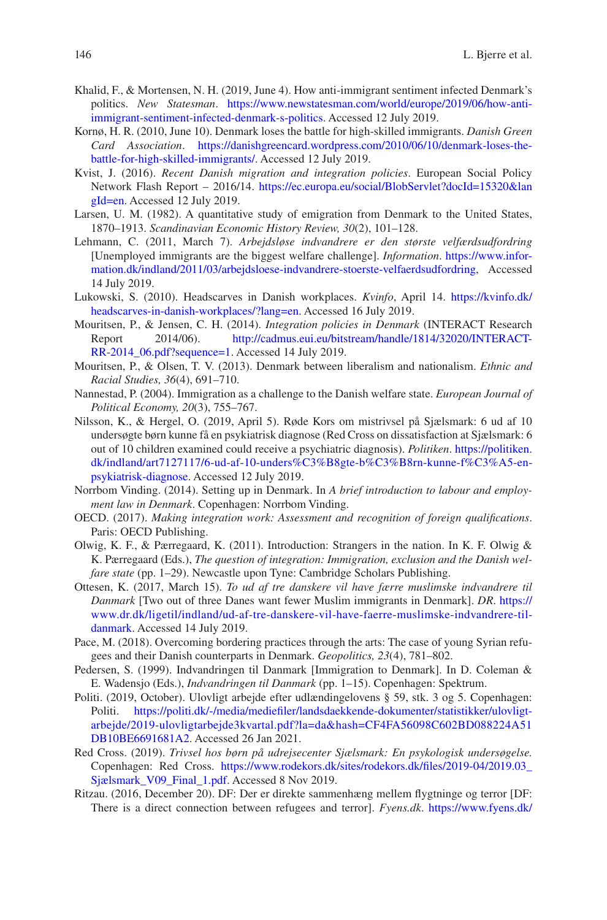- Khalid, F., & Mortensen, N. H. (2019, June 4). How anti-immigrant sentiment infected Denmark's politics. *New Statesman*. [https://www.newstatesman.com/world/europe/2019/06/how- anti](https://www.newstatesman.com/world/europe/2019/06/how-anti-immigrant-sentiment-infected-denmark-s-politics)immigrant-sentiment-infected-denmark-s-politics. Accessed 12 July 2019.
- Kornø, H. R. (2010, June 10). Denmark loses the battle for high-skilled immigrants. *Danish Green*  Card Association. https://danishgreencard.wordpress.com/2010/06/10/denmark-loses-thebattle-for-high-skilled-immigrants/. Accessed 12 July 2019.
- Kvist, J. (2016). *Recent Danish migration and integration policies*. European Social Policy Network Flash Report – 2016/14. [https://ec.europa.eu/social/BlobServlet?docId=15320&lan](https://ec.europa.eu/social/BlobServlet?docId=15320&langId=en) [gId=en](https://ec.europa.eu/social/BlobServlet?docId=15320&langId=en). Accessed 12 July 2019.
- Larsen, U. M. (1982). A quantitative study of emigration from Denmark to the United States, 1870–1913. *Scandinavian Economic History Review, 30*(2), 101–128.
- Lehmann, C. (2011, March 7). *Arbejdsløse indvandrere er den største velfærdsudfordring* [Unemployed immigrants are the biggest welfare challenge]. *Information*. [https://www.infor](https://www.information.dk/indland/2011/03/arbejdsloese-indvandrere-stoerste-velfaerdsudfordring)[mation.dk/indland/2011/03/arbejdsloese- indvandrere- stoerste- velfaerdsudfordring,](https://www.information.dk/indland/2011/03/arbejdsloese-indvandrere-stoerste-velfaerdsudfordring) Accessed 14 July 2019.
- Lukowski, S. (2010). Headscarves in Danish workplaces. *Kvinfo*, April 14. [https://kvinfo.dk/](https://kvinfo.dk/headscarves-in-danish-workplaces/?lang=en) headscarves-in-danish-workplaces/?lang=en. Accessed 16 July 2019.
- Mouritsen, P., & Jensen, C. H. (2014). *Integration policies in Denmark* (INTERACT Research Report 2014/06). [http://cadmus.eui.eu/bitstream/handle/1814/32020/INTERACT-](http://cadmus.eui.eu/bitstream/handle/1814/32020/INTERACT-RR-2014_06.pdf?sequence=1)RR-2014 06.pdf?sequence=1. Accessed 14 July 2019.
- Mouritsen, P., & Olsen, T. V. (2013). Denmark between liberalism and nationalism. *Ethnic and Racial Studies, 36*(4), 691–710.
- Nannestad, P. (2004). Immigration as a challenge to the Danish welfare state. *European Journal of Political Economy, 20*(3), 755–767.
- Nilsson, K., & Hergel, O. (2019, April 5). Røde Kors om mistrivsel på Sjælsmark: 6 ud af 10 undersøgte børn kunne få en psykiatrisk diagnose (Red Cross on dissatisfaction at Sjælsmark: 6 out of 10 children examined could receive a psychiatric diagnosis). *Politiken*. [https://politiken.](https://politiken.dk/indland/art7127117/6-ud-af-10-undersøgte-børn-kunne-få-en-psykiatrisk-diagnose) dk/indland/art7127117/6-ud-af-10-unders%C3%B8gte-b%C3%B8rn-kunne-f%C3%A5-en[psykiatrisk- diagnose](https://politiken.dk/indland/art7127117/6-ud-af-10-undersøgte-børn-kunne-få-en-psykiatrisk-diagnose). Accessed 12 July 2019.
- Norrbom Vinding. (2014). Setting up in Denmark. In *A brief introduction to labour and employment law in Denmark*. Copenhagen: Norrbom Vinding.
- OECD. (2017). *Making integration work: Assessment and recognition of foreign qualifications*. Paris: OECD Publishing.
- Olwig, K. F., & Pærregaard, K. (2011). Introduction: Strangers in the nation. In K. F. Olwig & K. Pærregaard (Eds.), *The question of integration: Immigration, exclusion and the Danish welfare state* (pp. 1–29). Newcastle upon Tyne: Cambridge Scholars Publishing.
- Ottesen, K. (2017, March 15). *To ud af tre danskere vil have færre muslimske indvandrere til Danmark* [Two out of three Danes want fewer Muslim immigrants in Denmark]. *DR*. [https://](https://www.dr.dk/ligetil/indland/ud-af-tre-danskere-vil-have-faerre-muslimske-indvandrere-til-danmark) [www.dr.dk/ligetil/indland/ud- af- tre- danskere- vil- have- faerre- muslimske- indvandrere- til](https://www.dr.dk/ligetil/indland/ud-af-tre-danskere-vil-have-faerre-muslimske-indvandrere-til-danmark)[danmark.](https://www.dr.dk/ligetil/indland/ud-af-tre-danskere-vil-have-faerre-muslimske-indvandrere-til-danmark) Accessed 14 July 2019.
- Pace, M. (2018). Overcoming bordering practices through the arts: The case of young Syrian refugees and their Danish counterparts in Denmark. *Geopolitics, 23*(4), 781–802.
- Pedersen, S. (1999). Indvandringen til Danmark [Immigration to Denmark]. In D. Coleman & E. Wadensjo (Eds.), *Indvandringen til Danmark* (pp. 1–15). Copenhagen: Spektrum.
- Politi. (2019, October). Ulovligt arbejde efter udlændingelovens § 59, stk. 3 og 5. Copenhagen: Politi. https://politi.dk/-/media/mediefiler/landsdaekkende-dokumenter/statistikker/ulovligt[arbejde/2019- ulovligtarbejde3kvartal.pdf?la=da&hash=CF4FA56098C602BD088224A51](https://politi.dk/-/media/mediefiler/landsdaekkende-dokumenter/statistikker/ulovligt-arbejde/2019-ulovligtarbejde3kvartal.pdf?la=da&hash=CF4FA56098C602BD088224A51DB10BE6691681A2) [DB10BE6691681A2](https://politi.dk/-/media/mediefiler/landsdaekkende-dokumenter/statistikker/ulovligt-arbejde/2019-ulovligtarbejde3kvartal.pdf?la=da&hash=CF4FA56098C602BD088224A51DB10BE6691681A2). Accessed 26 Jan 2021.
- Red Cross. (2019). *Trivsel hos børn på udrejsecenter Sjælsmark: En psykologisk undersøgelse.* Copenhagen: Red Cross. https://www.rodekors.dk/sites/rodekors.dk/files/2019-04/2019.03\_ [Sjælsmark\\_V09\\_Final\\_1.pdf](https://www.rodekors.dk/sites/rodekors.dk/files/2019-04/2019.03_Sjælsmark_V09_Final_1.pdf). Accessed 8 Nov 2019.
- Ritzau. (2016, December 20). DF: Der er direkte sammenhæng mellem flygtninge og terror [DF: There is a direct connection between refugees and terror]. *Fyens.dk*. [https://www.fyens.dk/](https://www.fyens.dk/indland/DF-Der-er-direkte-sammenhaeng-mellem-flygtninge-og-terror/artikel/3108352)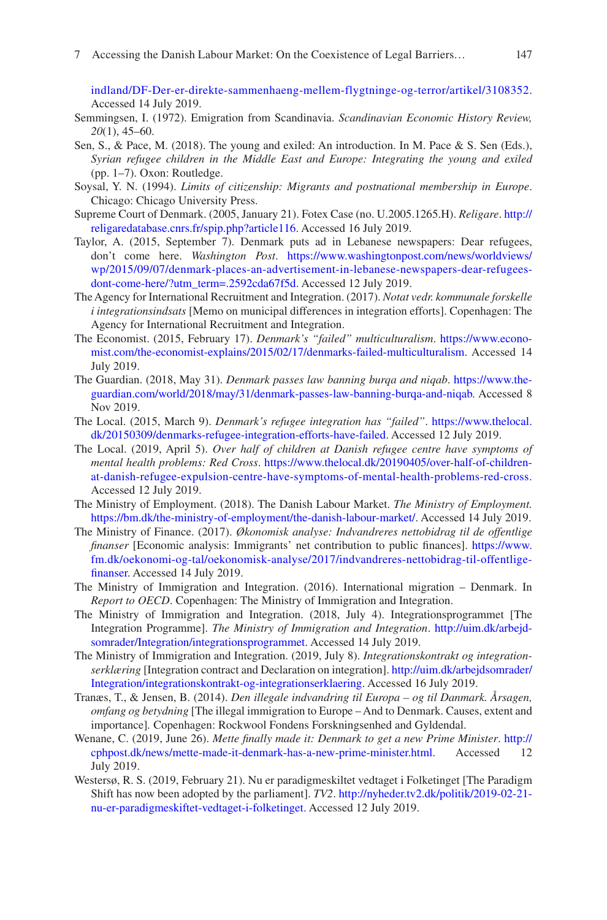[indland/DF- Der- er- direkte- sammenhaeng- mellem- flygtninge- og- terror/artikel/3108352](https://www.fyens.dk/indland/DF-Der-er-direkte-sammenhaeng-mellem-flygtninge-og-terror/artikel/3108352). Accessed 14 July 2019.

- Semmingsen, I. (1972). Emigration from Scandinavia. *Scandinavian Economic History Review, 20*(1), 45–60.
- Sen, S., & Pace, M. (2018). The young and exiled: An introduction. In M. Pace & S. Sen (Eds.), *Syrian refugee children in the Middle East and Europe: Integrating the young and exiled* (pp. 1–7). Oxon: Routledge.
- Soysal, Y. N. (1994). *Limits of citizenship: Migrants and postnational membership in Europe*. Chicago: Chicago University Press.
- Supreme Court of Denmark. (2005, January 21). Fotex Case (no. U.2005.1265.H). *Religare*. [http://](http://religaredatabase.cnrs.fr/spip.php?article116) [religaredatabase.cnrs.fr/spip.php?article116](http://religaredatabase.cnrs.fr/spip.php?article116). Accessed 16 July 2019.
- Taylor, A. (2015, September 7). Denmark puts ad in Lebanese newspapers: Dear refugees, don't come here. *Washington Post*. [https://www.washingtonpost.com/news/worldviews/](https://www.washingtonpost.com/news/worldviews/wp/2015/09/07/denmark-places-an-advertisement-in-lebanese-newspapers-dear-refugees-dont-come-here/?utm_term=.2592cda67f5d) [wp/2015/09/07/denmark- places- an- advertisement- in- lebanese- newspapers- dear- refugees](https://www.washingtonpost.com/news/worldviews/wp/2015/09/07/denmark-places-an-advertisement-in-lebanese-newspapers-dear-refugees-dont-come-here/?utm_term=.2592cda67f5d)dont-come-here/?utm\_term=.2592cda67f5d. Accessed 12 July 2019.
- The Agency for International Recruitment and Integration. (2017). *Notat vedr. kommunale forskelle i integrationsindsats* [Memo on municipal differences in integration efforts]. Copenhagen: The Agency for International Recruitment and Integration.
- The Economist. (2015, February 17). *Denmark's "failed" multiculturalism*. [https://www.econo](https://www.economist.com/the-economist-explains/2015/02/17/denmarks-failed-multiculturalism)mist.com/the-economist-explains/2015/02/17/denmarks-failed-multiculturalism. Accessed 14 July 2019.
- The Guardian. (2018, May 31). *Denmark passes law banning burqa and niqab*. [https://www.the](https://www.theguardian.com/world/2018/may/31/denmark-passes-law-banning-burqa-and-niqab)[guardian.com/world/2018/may/31/denmark- passes- law- banning- burqa- and- niqab](https://www.theguardian.com/world/2018/may/31/denmark-passes-law-banning-burqa-and-niqab). Accessed 8 Nov 2019.
- The Local. (2015, March 9). *Denmark's refugee integration has "failed"*. [https://www.thelocal.](https://www.thelocal.dk/20150309/denmarks-refugee-integration-efforts-have-failed) [dk/20150309/denmarks- refugee- integration- efforts- have- failed](https://www.thelocal.dk/20150309/denmarks-refugee-integration-efforts-have-failed). Accessed 12 July 2019.
- The Local. (2019, April 5). *Over half of children at Danish refugee centre have symptoms of mental health problems: Red Cross.* https://www.thelocal.dk/20190405/over-half-of-children[at- danish- refugee- expulsion- centre- have- symptoms- of- mental- health- problems- red- cross](https://www.thelocal.dk/20190405/over-half-of-children-at-danish-refugee-expulsion-centre-have-symptoms-of-mental-health-problems-red-cross). Accessed 12 July 2019.
- The Ministry of Employment. (2018). The Danish Labour Market. *The Ministry of Employment.* https://bm.dk/the-ministry-of-employment/the-danish-labour-market/. Accessed 14 July 2019.
- The Ministry of Finance. (2017). *Økonomisk analyse: Indvandreres nettobidrag til de offentlige finanser* [Economic analysis: Immigrants' net contribution to public finances]. [https://www.](https://www.fm.dk/oekonomi-og-tal/oekonomisk-analyse/2017/indvandreres-nettobidrag-til-offentlige-finanser) [fm.dk/oekonomi- og- tal/oekonomisk- analyse/2017/indvandreres- nettobidrag- til- offentlige](https://www.fm.dk/oekonomi-og-tal/oekonomisk-analyse/2017/indvandreres-nettobidrag-til-offentlige-finanser)[finanser](https://www.fm.dk/oekonomi-og-tal/oekonomisk-analyse/2017/indvandreres-nettobidrag-til-offentlige-finanser). Accessed 14 July 2019.
- The Ministry of Immigration and Integration. (2016). International migration Denmark. In *Report to OECD*. Copenhagen: The Ministry of Immigration and Integration.
- The Ministry of Immigration and Integration. (2018, July 4). Integrationsprogrammet [The Integration Programme]. *The Ministry of Immigration and Integration*. [http://uim.dk/arbejd](http://uim.dk/arbejdsomrader/Integration/integrationsprogrammet)[somrader/Integration/integrationsprogrammet.](http://uim.dk/arbejdsomrader/Integration/integrationsprogrammet) Accessed 14 July 2019.
- The Ministry of Immigration and Integration. (2019, July 8). *Integrationskontrakt og integrationserklæring* [Integration contract and Declaration on integration]. [http://uim.dk/arbejdsomrader/](http://uim.dk/arbejdsomrader/Integration/integrationskontrakt-og-integrationserklaering) [Integration/integrationskontrakt- og- integrationserklaering](http://uim.dk/arbejdsomrader/Integration/integrationskontrakt-og-integrationserklaering). Accessed 16 July 2019.
- Tranæs, T., & Jensen, B. (2014). *Den illegale indvandring til Europa og til Danmark. Årsagen, omfang og betydning* [The illegal immigration to Europe – And to Denmark. Causes, extent and importance]*.* Copenhagen: Rockwool Fondens Forskningsenhed and Gyldendal.
- Wenane, C. (2019, June 26). *Mette finally made it: Denmark to get a new Prime Minister*. [http://](http://cphpost.dk/news/mette-made-it-denmark-has-a-new-prime-minister.html) [cphpost.dk/news/mette- made- it- denmark- has- a- new- prime- minister.html](http://cphpost.dk/news/mette-made-it-denmark-has-a-new-prime-minister.html). Accessed 12 July 2019.
- Westersø, R. S. (2019, February 21). Nu er paradigmeskiltet vedtaget i Folketinget [The Paradigm Shift has now been adopted by the parliament]. *TV2*. http://nyheder.tv2.dk/politik/2019-02-21[nu- er- paradigmeskiftet- vedtaget- i- folketinget.](http://nyheder.tv2.dk/politik/2019-02-21-nu-er-paradigmeskiftet-vedtaget-i-folketinget.) Accessed 12 July 2019.